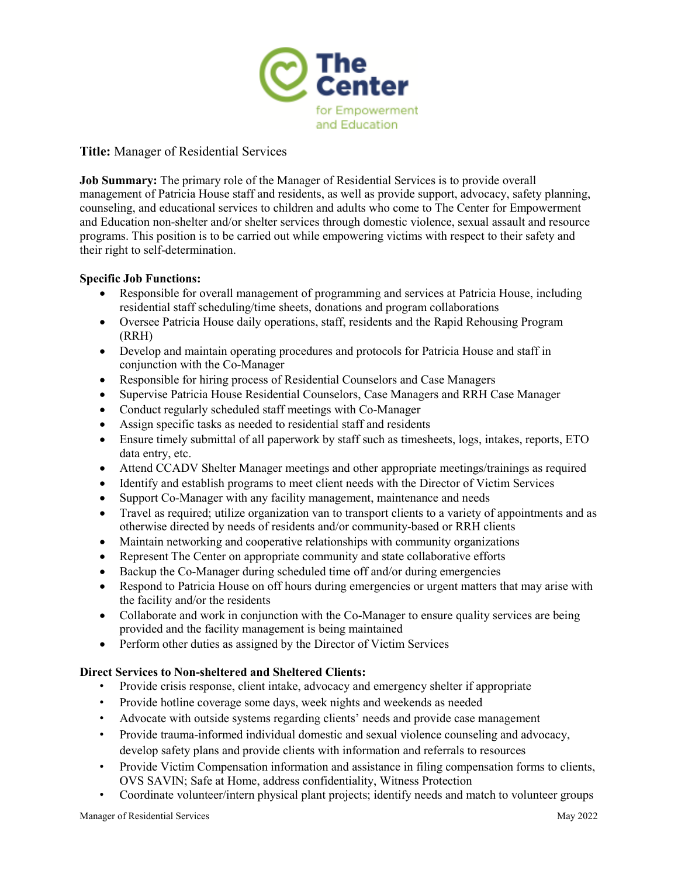

# **Title:** Manager of Residential Services

**Job Summary:** The primary role of the Manager of Residential Services is to provide overall management of Patricia House staff and residents, as well as provide support, advocacy, safety planning, counseling, and educational services to children and adults who come to The Center for Empowerment and Education non-shelter and/or shelter services through domestic violence, sexual assault and resource programs. This position is to be carried out while empowering victims with respect to their safety and their right to self-determination.

# **Specific Job Functions:**

- Responsible for overall management of programming and services at Patricia House, including residential staff scheduling/time sheets, donations and program collaborations
- Oversee Patricia House daily operations, staff, residents and the Rapid Rehousing Program (RRH)
- Develop and maintain operating procedures and protocols for Patricia House and staff in conjunction with the Co-Manager
- Responsible for hiring process of Residential Counselors and Case Managers
- Supervise Patricia House Residential Counselors, Case Managers and RRH Case Manager
- Conduct regularly scheduled staff meetings with Co-Manager
- Assign specific tasks as needed to residential staff and residents
- Ensure timely submittal of all paperwork by staff such as timesheets, logs, intakes, reports, ETO data entry, etc.
- Attend CCADV Shelter Manager meetings and other appropriate meetings/trainings as required
- Identify and establish programs to meet client needs with the Director of Victim Services
- Support Co-Manager with any facility management, maintenance and needs
- Travel as required; utilize organization van to transport clients to a variety of appointments and as otherwise directed by needs of residents and/or community-based or RRH clients
- Maintain networking and cooperative relationships with community organizations
- Represent The Center on appropriate community and state collaborative efforts
- Backup the Co-Manager during scheduled time off and/or during emergencies
- Respond to Patricia House on off hours during emergencies or urgent matters that may arise with the facility and/or the residents
- Collaborate and work in conjunction with the Co-Manager to ensure quality services are being provided and the facility management is being maintained
- Perform other duties as assigned by the Director of Victim Services

### **Direct Services to Non-sheltered and Sheltered Clients:**

- Provide crisis response, client intake, advocacy and emergency shelter if appropriate
- Provide hotline coverage some days, week nights and weekends as needed
- Advocate with outside systems regarding clients' needs and provide case management
- Provide trauma-informed individual domestic and sexual violence counseling and advocacy, develop safety plans and provide clients with information and referrals to resources
- Provide Victim Compensation information and assistance in filing compensation forms to clients, OVS SAVIN; Safe at Home, address confidentiality, Witness Protection
- Coordinate volunteer/intern physical plant projects; identify needs and match to volunteer groups